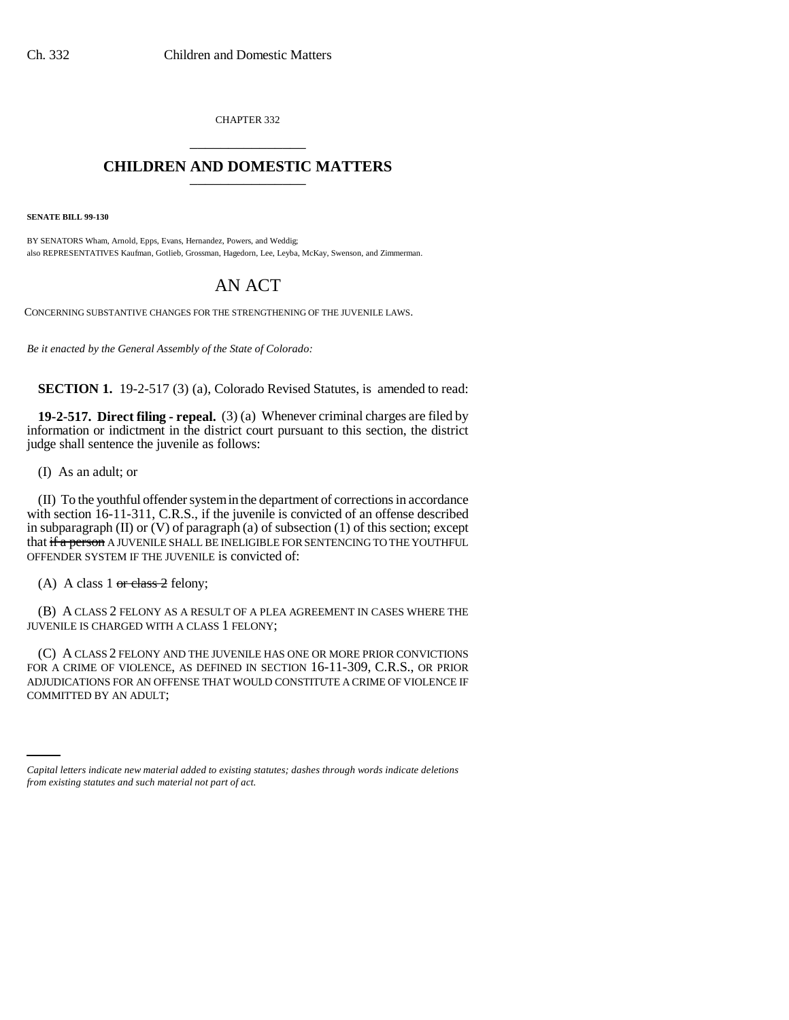CHAPTER 332 \_\_\_\_\_\_\_\_\_\_\_\_\_\_\_

## **CHILDREN AND DOMESTIC MATTERS** \_\_\_\_\_\_\_\_\_\_\_\_\_\_\_

**SENATE BILL 99-130**

BY SENATORS Wham, Arnold, Epps, Evans, Hernandez, Powers, and Weddig; also REPRESENTATIVES Kaufman, Gotlieb, Grossman, Hagedorn, Lee, Leyba, McKay, Swenson, and Zimmerman.

## AN ACT

CONCERNING SUBSTANTIVE CHANGES FOR THE STRENGTHENING OF THE JUVENILE LAWS.

*Be it enacted by the General Assembly of the State of Colorado:*

**SECTION 1.** 19-2-517 (3) (a), Colorado Revised Statutes, is amended to read:

**19-2-517. Direct filing - repeal.** (3) (a) Whenever criminal charges are filed by information or indictment in the district court pursuant to this section, the district judge shall sentence the juvenile as follows:

(I) As an adult; or

(II) To the youthful offender system in the department of corrections in accordance with section 16-11-311, C.R.S., if the juvenile is convicted of an offense described in subparagraph  $(II)$  or  $(V)$  of paragraph  $(a)$  of subsection  $(1)$  of this section; except that if a person A JUVENILE SHALL BE INELIGIBLE FOR SENTENCING TO THE YOUTHFUL OFFENDER SYSTEM IF THE JUVENILE is convicted of:

(A) A class 1 or class 2 felony;

(B) A CLASS 2 FELONY AS A RESULT OF A PLEA AGREEMENT IN CASES WHERE THE JUVENILE IS CHARGED WITH A CLASS 1 FELONY;

COMMITTED BY AN ADULT;(C) A CLASS 2 FELONY AND THE JUVENILE HAS ONE OR MORE PRIOR CONVICTIONS FOR A CRIME OF VIOLENCE, AS DEFINED IN SECTION 16-11-309, C.R.S., OR PRIOR ADJUDICATIONS FOR AN OFFENSE THAT WOULD CONSTITUTE A CRIME OF VIOLENCE IF

*Capital letters indicate new material added to existing statutes; dashes through words indicate deletions from existing statutes and such material not part of act.*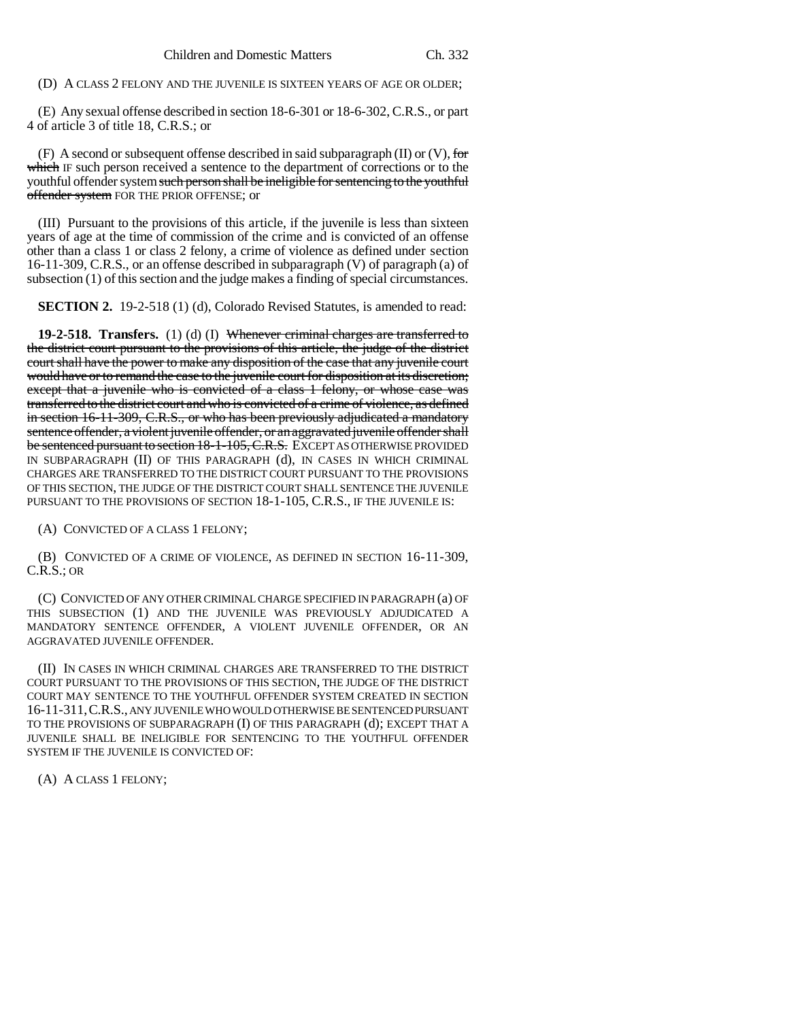(D) A CLASS 2 FELONY AND THE JUVENILE IS SIXTEEN YEARS OF AGE OR OLDER;

(E) Any sexual offense described in section 18-6-301 or 18-6-302, C.R.S., or part 4 of article 3 of title 18, C.R.S.; or

(F) A second or subsequent offense described in said subparagraph (II) or (V), for which IF such person received a sentence to the department of corrections or to the youthful offender system such person shall be ineligible for sentencing to the youthful offender system FOR THE PRIOR OFFENSE; or

(III) Pursuant to the provisions of this article, if the juvenile is less than sixteen years of age at the time of commission of the crime and is convicted of an offense other than a class 1 or class 2 felony, a crime of violence as defined under section 16-11-309, C.R.S., or an offense described in subparagraph (V) of paragraph (a) of subsection (1) of this section and the judge makes a finding of special circumstances.

**SECTION 2.** 19-2-518 (1) (d), Colorado Revised Statutes, is amended to read:

**19-2-518. Transfers.** (1) (d) (I) Whenever criminal charges are transferred to the district court pursuant to the provisions of this article, the judge of the district court shall have the power to make any disposition of the case that any juvenile court would have or to remand the case to the juvenile court for disposition at its discretion; except that a juvenile who is convicted of a class 1 felony, or whose case was transferred to the district court and who is convicted of a crime of violence, as defined in section 16-11-309, C.R.S., or who has been previously adjudicated a mandatory sentence offender, a violent juvenile offender, or an aggravated juvenile offender shall be sentenced pursuant to section 18-1-105, C.R.S. EXCEPT AS OTHERWISE PROVIDED IN SUBPARAGRAPH (II) OF THIS PARAGRAPH (d), IN CASES IN WHICH CRIMINAL CHARGES ARE TRANSFERRED TO THE DISTRICT COURT PURSUANT TO THE PROVISIONS OF THIS SECTION, THE JUDGE OF THE DISTRICT COURT SHALL SENTENCE THE JUVENILE PURSUANT TO THE PROVISIONS OF SECTION 18-1-105, C.R.S., IF THE JUVENILE IS:

(A) CONVICTED OF A CLASS 1 FELONY;

(B) CONVICTED OF A CRIME OF VIOLENCE, AS DEFINED IN SECTION 16-11-309, C.R.S.; OR

(C) CONVICTED OF ANY OTHER CRIMINAL CHARGE SPECIFIED IN PARAGRAPH (a) OF THIS SUBSECTION (1) AND THE JUVENILE WAS PREVIOUSLY ADJUDICATED A MANDATORY SENTENCE OFFENDER, A VIOLENT JUVENILE OFFENDER, OR AN AGGRAVATED JUVENILE OFFENDER.

(II) IN CASES IN WHICH CRIMINAL CHARGES ARE TRANSFERRED TO THE DISTRICT COURT PURSUANT TO THE PROVISIONS OF THIS SECTION, THE JUDGE OF THE DISTRICT COURT MAY SENTENCE TO THE YOUTHFUL OFFENDER SYSTEM CREATED IN SECTION 16-11-311,C.R.S., ANY JUVENILE WHO WOULD OTHERWISE BE SENTENCED PURSUANT TO THE PROVISIONS OF SUBPARAGRAPH (I) OF THIS PARAGRAPH (d); EXCEPT THAT A JUVENILE SHALL BE INELIGIBLE FOR SENTENCING TO THE YOUTHFUL OFFENDER SYSTEM IF THE JUVENILE IS CONVICTED OF:

(A) A CLASS 1 FELONY;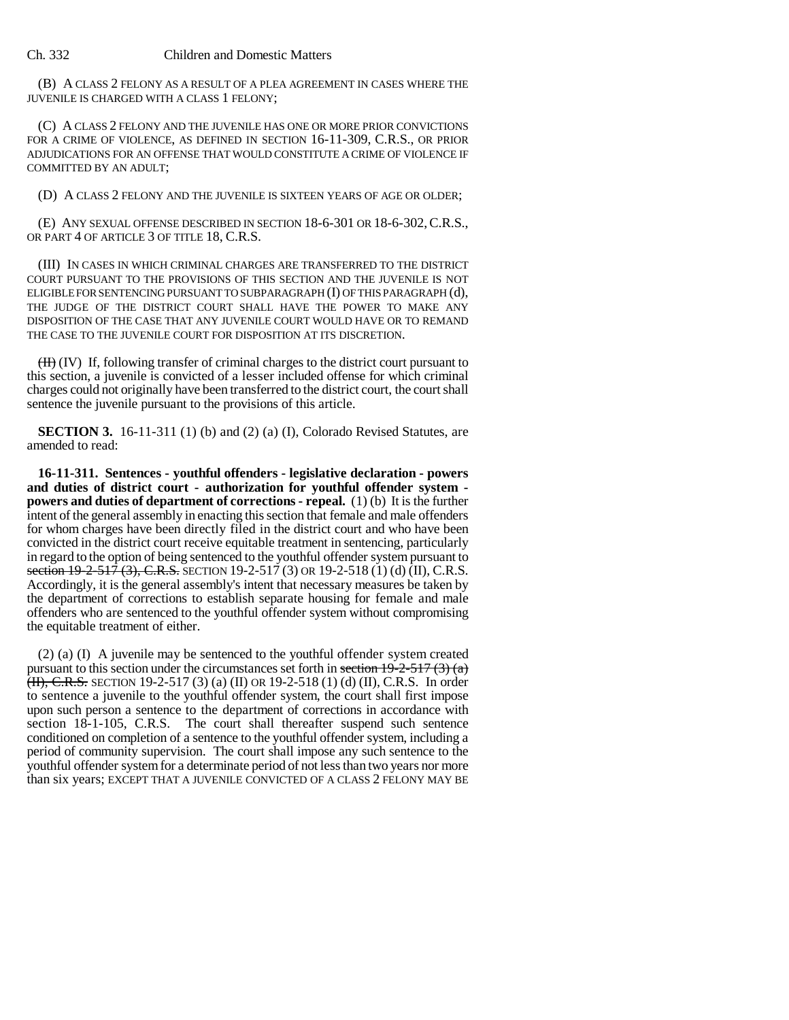## Ch. 332 Children and Domestic Matters

(B) A CLASS 2 FELONY AS A RESULT OF A PLEA AGREEMENT IN CASES WHERE THE JUVENILE IS CHARGED WITH A CLASS 1 FELONY;

(C) A CLASS 2 FELONY AND THE JUVENILE HAS ONE OR MORE PRIOR CONVICTIONS FOR A CRIME OF VIOLENCE, AS DEFINED IN SECTION 16-11-309, C.R.S., OR PRIOR ADJUDICATIONS FOR AN OFFENSE THAT WOULD CONSTITUTE A CRIME OF VIOLENCE IF COMMITTED BY AN ADULT;

(D) A CLASS 2 FELONY AND THE JUVENILE IS SIXTEEN YEARS OF AGE OR OLDER;

(E) ANY SEXUAL OFFENSE DESCRIBED IN SECTION 18-6-301 OR 18-6-302,C.R.S., OR PART 4 OF ARTICLE 3 OF TITLE 18, C.R.S.

(III) IN CASES IN WHICH CRIMINAL CHARGES ARE TRANSFERRED TO THE DISTRICT COURT PURSUANT TO THE PROVISIONS OF THIS SECTION AND THE JUVENILE IS NOT ELIGIBLE FOR SENTENCING PURSUANT TO SUBPARAGRAPH (I) OF THIS PARAGRAPH (d), THE JUDGE OF THE DISTRICT COURT SHALL HAVE THE POWER TO MAKE ANY DISPOSITION OF THE CASE THAT ANY JUVENILE COURT WOULD HAVE OR TO REMAND THE CASE TO THE JUVENILE COURT FOR DISPOSITION AT ITS DISCRETION.

(II) (IV) If, following transfer of criminal charges to the district court pursuant to this section, a juvenile is convicted of a lesser included offense for which criminal charges could not originally have been transferred to the district court, the court shall sentence the juvenile pursuant to the provisions of this article.

**SECTION 3.** 16-11-311 (1) (b) and (2) (a) (I), Colorado Revised Statutes, are amended to read:

**16-11-311. Sentences - youthful offenders - legislative declaration - powers and duties of district court - authorization for youthful offender system powers and duties of department of corrections - repeal.** (1) (b) It is the further intent of the general assembly in enacting this section that female and male offenders for whom charges have been directly filed in the district court and who have been convicted in the district court receive equitable treatment in sentencing, particularly in regard to the option of being sentenced to the youthful offender system pursuant to section 19-2-517 (3), C.R.S. SECTION 19-2-517 (3) OR 19-2-518 (1) (d) (II), C.R.S. Accordingly, it is the general assembly's intent that necessary measures be taken by the department of corrections to establish separate housing for female and male offenders who are sentenced to the youthful offender system without compromising the equitable treatment of either.

(2) (a) (I) A juvenile may be sentenced to the youthful offender system created pursuant to this section under the circumstances set forth in section  $19-2-517$  (3) (a)  $(H), C.R.S.$  SECTION 19-2-517 (3) (a) (II) OR 19-2-518 (1) (d) (II), C.R.S. In order to sentence a juvenile to the youthful offender system, the court shall first impose upon such person a sentence to the department of corrections in accordance with section 18-1-105, C.R.S. The court shall thereafter suspend such sentence conditioned on completion of a sentence to the youthful offender system, including a period of community supervision. The court shall impose any such sentence to the youthful offender system for a determinate period of not less than two years nor more than six years; EXCEPT THAT A JUVENILE CONVICTED OF A CLASS 2 FELONY MAY BE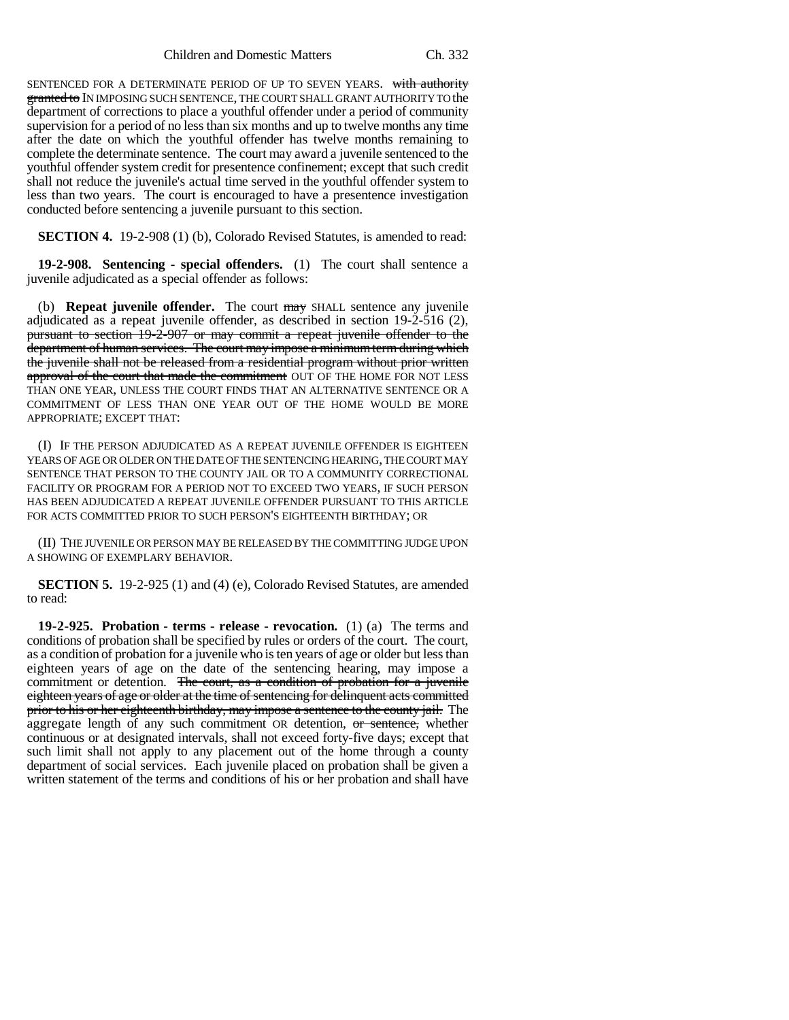Children and Domestic Matters Ch. 332

SENTENCED FOR A DETERMINATE PERIOD OF UP TO SEVEN YEARS. with authority granted to IN IMPOSING SUCH SENTENCE, THE COURT SHALL GRANT AUTHORITY TO the department of corrections to place a youthful offender under a period of community supervision for a period of no less than six months and up to twelve months any time after the date on which the youthful offender has twelve months remaining to complete the determinate sentence. The court may award a juvenile sentenced to the youthful offender system credit for presentence confinement; except that such credit shall not reduce the juvenile's actual time served in the youthful offender system to less than two years. The court is encouraged to have a presentence investigation conducted before sentencing a juvenile pursuant to this section.

**SECTION 4.** 19-2-908 (1) (b), Colorado Revised Statutes, is amended to read:

**19-2-908. Sentencing - special offenders.** (1) The court shall sentence a juvenile adjudicated as a special offender as follows:

(b) **Repeat juvenile offender.** The court may SHALL sentence any juvenile adjudicated as a repeat juvenile offender, as described in section 19-2-516 (2), pursuant to section 19-2-907 or may commit a repeat juvenile offender to the department of human services. The court may impose a minimum term during which the juvenile shall not be released from a residential program without prior written approval of the court that made the commitment OUT OF THE HOME FOR NOT LESS THAN ONE YEAR, UNLESS THE COURT FINDS THAT AN ALTERNATIVE SENTENCE OR A COMMITMENT OF LESS THAN ONE YEAR OUT OF THE HOME WOULD BE MORE APPROPRIATE; EXCEPT THAT:

(I) IF THE PERSON ADJUDICATED AS A REPEAT JUVENILE OFFENDER IS EIGHTEEN YEARS OF AGE OR OLDER ON THE DATE OF THE SENTENCING HEARING, THE COURT MAY SENTENCE THAT PERSON TO THE COUNTY JAIL OR TO A COMMUNITY CORRECTIONAL FACILITY OR PROGRAM FOR A PERIOD NOT TO EXCEED TWO YEARS, IF SUCH PERSON HAS BEEN ADJUDICATED A REPEAT JUVENILE OFFENDER PURSUANT TO THIS ARTICLE FOR ACTS COMMITTED PRIOR TO SUCH PERSON'S EIGHTEENTH BIRTHDAY; OR

(II) THE JUVENILE OR PERSON MAY BE RELEASED BY THE COMMITTING JUDGE UPON A SHOWING OF EXEMPLARY BEHAVIOR.

**SECTION 5.** 19-2-925 (1) and (4) (e), Colorado Revised Statutes, are amended to read:

**19-2-925. Probation - terms - release - revocation.** (1) (a) The terms and conditions of probation shall be specified by rules or orders of the court. The court, as a condition of probation for a juvenile who is ten years of age or older but less than eighteen years of age on the date of the sentencing hearing, may impose a commitment or detention. The court, as a condition of probation for a juvenile eighteen years of age or older at the time of sentencing for delinquent acts committed prior to his or her eighteenth birthday, may impose a sentence to the county jail. The aggregate length of any such commitment OR detention, or sentence, whether continuous or at designated intervals, shall not exceed forty-five days; except that such limit shall not apply to any placement out of the home through a county department of social services. Each juvenile placed on probation shall be given a written statement of the terms and conditions of his or her probation and shall have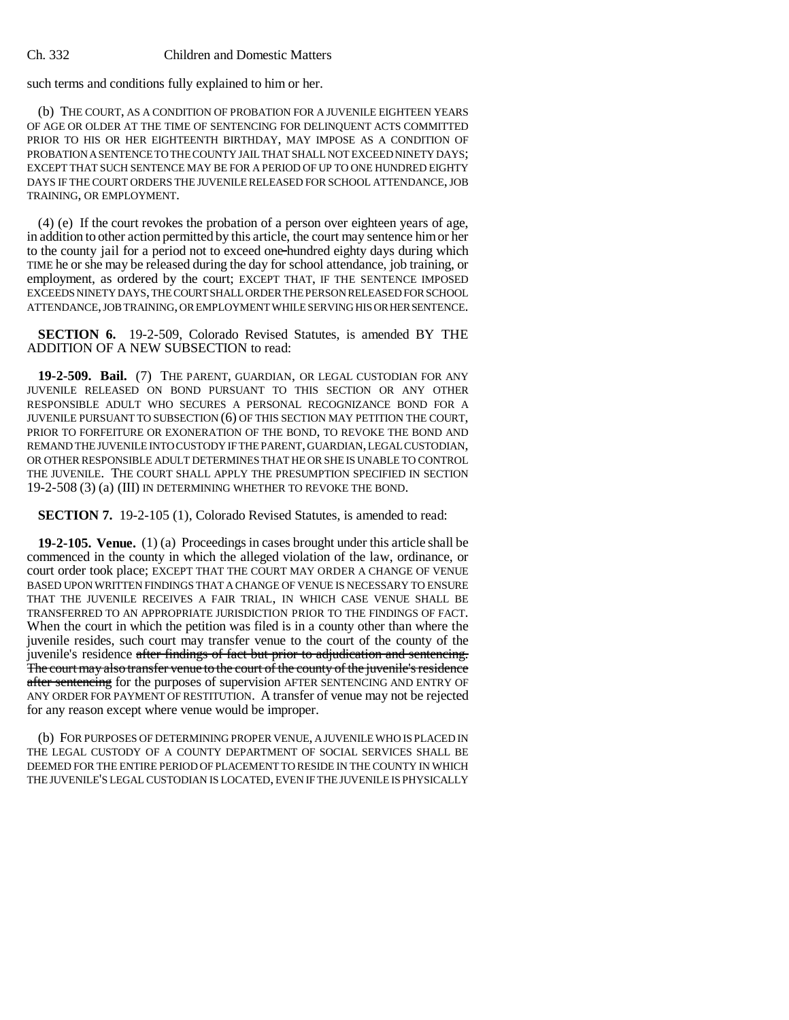## Ch. 332 Children and Domestic Matters

such terms and conditions fully explained to him or her.

(b) THE COURT, AS A CONDITION OF PROBATION FOR A JUVENILE EIGHTEEN YEARS OF AGE OR OLDER AT THE TIME OF SENTENCING FOR DELINQUENT ACTS COMMITTED PRIOR TO HIS OR HER EIGHTEENTH BIRTHDAY, MAY IMPOSE AS A CONDITION OF PROBATION A SENTENCE TO THE COUNTY JAIL THAT SHALL NOT EXCEED NINETY DAYS; EXCEPT THAT SUCH SENTENCE MAY BE FOR A PERIOD OF UP TO ONE HUNDRED EIGHTY DAYS IF THE COURT ORDERS THE JUVENILE RELEASED FOR SCHOOL ATTENDANCE, JOB TRAINING, OR EMPLOYMENT.

(4) (e) If the court revokes the probation of a person over eighteen years of age, in addition to other action permitted by this article, the court may sentence him or her to the county jail for a period not to exceed one hundred eighty days during which TIME he or she may be released during the day for school attendance, job training, or employment, as ordered by the court; EXCEPT THAT, IF THE SENTENCE IMPOSED EXCEEDS NINETY DAYS, THE COURT SHALL ORDER THE PERSON RELEASED FOR SCHOOL ATTENDANCE, JOB TRAINING, OR EMPLOYMENT WHILE SERVING HIS OR HER SENTENCE.

**SECTION 6.** 19-2-509, Colorado Revised Statutes, is amended BY THE ADDITION OF A NEW SUBSECTION to read:

**19-2-509. Bail.** (7) THE PARENT, GUARDIAN, OR LEGAL CUSTODIAN FOR ANY JUVENILE RELEASED ON BOND PURSUANT TO THIS SECTION OR ANY OTHER RESPONSIBLE ADULT WHO SECURES A PERSONAL RECOGNIZANCE BOND FOR A JUVENILE PURSUANT TO SUBSECTION (6) OF THIS SECTION MAY PETITION THE COURT, PRIOR TO FORFEITURE OR EXONERATION OF THE BOND, TO REVOKE THE BOND AND REMAND THE JUVENILE INTO CUSTODY IF THE PARENT, GUARDIAN, LEGAL CUSTODIAN, OR OTHER RESPONSIBLE ADULT DETERMINES THAT HE OR SHE IS UNABLE TO CONTROL THE JUVENILE. THE COURT SHALL APPLY THE PRESUMPTION SPECIFIED IN SECTION 19-2-508 (3) (a) (III) IN DETERMINING WHETHER TO REVOKE THE BOND.

**SECTION 7.** 19-2-105 (1), Colorado Revised Statutes, is amended to read:

**19-2-105. Venue.** (1) (a) Proceedings in cases brought under this article shall be commenced in the county in which the alleged violation of the law, ordinance, or court order took place; EXCEPT THAT THE COURT MAY ORDER A CHANGE OF VENUE BASED UPON WRITTEN FINDINGS THAT A CHANGE OF VENUE IS NECESSARY TO ENSURE THAT THE JUVENILE RECEIVES A FAIR TRIAL, IN WHICH CASE VENUE SHALL BE TRANSFERRED TO AN APPROPRIATE JURISDICTION PRIOR TO THE FINDINGS OF FACT. When the court in which the petition was filed is in a county other than where the juvenile resides, such court may transfer venue to the court of the county of the juvenile's residence after findings of fact but prior to adjudication and sentencing. The court may also transfer venue to the court of the county of the juvenile's residence after sentencing for the purposes of supervision AFTER SENTENCING AND ENTRY OF ANY ORDER FOR PAYMENT OF RESTITUTION. A transfer of venue may not be rejected for any reason except where venue would be improper.

(b) FOR PURPOSES OF DETERMINING PROPER VENUE, A JUVENILE WHO IS PLACED IN THE LEGAL CUSTODY OF A COUNTY DEPARTMENT OF SOCIAL SERVICES SHALL BE DEEMED FOR THE ENTIRE PERIOD OF PLACEMENT TO RESIDE IN THE COUNTY IN WHICH THE JUVENILE'S LEGAL CUSTODIAN IS LOCATED, EVEN IF THE JUVENILE IS PHYSICALLY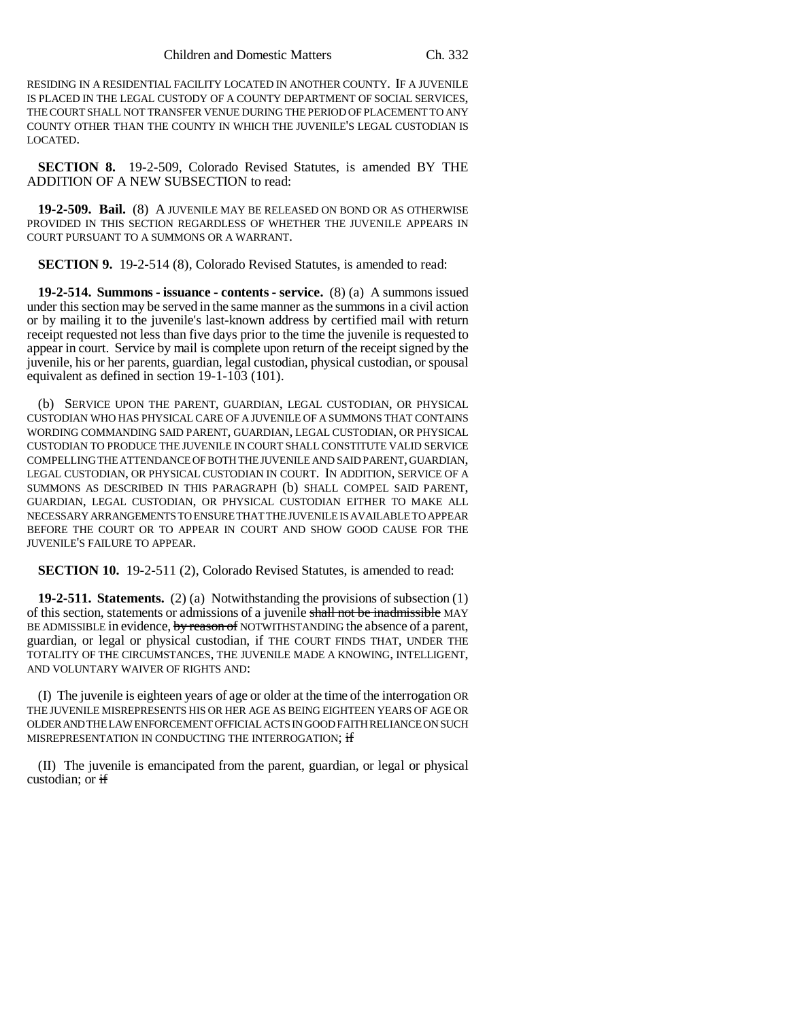RESIDING IN A RESIDENTIAL FACILITY LOCATED IN ANOTHER COUNTY. IF A JUVENILE IS PLACED IN THE LEGAL CUSTODY OF A COUNTY DEPARTMENT OF SOCIAL SERVICES, THE COURT SHALL NOT TRANSFER VENUE DURING THE PERIOD OF PLACEMENT TO ANY COUNTY OTHER THAN THE COUNTY IN WHICH THE JUVENILE'S LEGAL CUSTODIAN IS LOCATED.

**SECTION 8.** 19-2-509, Colorado Revised Statutes, is amended BY THE ADDITION OF A NEW SUBSECTION to read:

**19-2-509. Bail.** (8) A JUVENILE MAY BE RELEASED ON BOND OR AS OTHERWISE PROVIDED IN THIS SECTION REGARDLESS OF WHETHER THE JUVENILE APPEARS IN COURT PURSUANT TO A SUMMONS OR A WARRANT.

**SECTION 9.** 19-2-514 (8), Colorado Revised Statutes, is amended to read:

**19-2-514. Summons - issuance - contents - service.** (8) (a) A summons issued under this section may be served in the same manner as the summons in a civil action or by mailing it to the juvenile's last-known address by certified mail with return receipt requested not less than five days prior to the time the juvenile is requested to appear in court. Service by mail is complete upon return of the receipt signed by the juvenile, his or her parents, guardian, legal custodian, physical custodian, or spousal equivalent as defined in section 19-1-103 (101).

(b) SERVICE UPON THE PARENT, GUARDIAN, LEGAL CUSTODIAN, OR PHYSICAL CUSTODIAN WHO HAS PHYSICAL CARE OF A JUVENILE OF A SUMMONS THAT CONTAINS WORDING COMMANDING SAID PARENT, GUARDIAN, LEGAL CUSTODIAN, OR PHYSICAL CUSTODIAN TO PRODUCE THE JUVENILE IN COURT SHALL CONSTITUTE VALID SERVICE COMPELLING THE ATTENDANCE OF BOTH THE JUVENILE AND SAID PARENT, GUARDIAN, LEGAL CUSTODIAN, OR PHYSICAL CUSTODIAN IN COURT. IN ADDITION, SERVICE OF A SUMMONS AS DESCRIBED IN THIS PARAGRAPH (b) SHALL COMPEL SAID PARENT, GUARDIAN, LEGAL CUSTODIAN, OR PHYSICAL CUSTODIAN EITHER TO MAKE ALL NECESSARY ARRANGEMENTS TO ENSURE THAT THE JUVENILE IS AVAILABLE TO APPEAR BEFORE THE COURT OR TO APPEAR IN COURT AND SHOW GOOD CAUSE FOR THE JUVENILE'S FAILURE TO APPEAR.

**SECTION 10.** 19-2-511 (2), Colorado Revised Statutes, is amended to read:

**19-2-511. Statements.** (2) (a) Notwithstanding the provisions of subsection (1) of this section, statements or admissions of a juvenile shall not be inadmissible MAY BE ADMISSIBLE in evidence, by reason of NOTWITHSTANDING the absence of a parent, guardian, or legal or physical custodian, if THE COURT FINDS THAT, UNDER THE TOTALITY OF THE CIRCUMSTANCES, THE JUVENILE MADE A KNOWING, INTELLIGENT, AND VOLUNTARY WAIVER OF RIGHTS AND:

(I) The juvenile is eighteen years of age or older at the time of the interrogation OR THE JUVENILE MISREPRESENTS HIS OR HER AGE AS BEING EIGHTEEN YEARS OF AGE OR OLDER AND THE LAW ENFORCEMENT OFFICIAL ACTS IN GOOD FAITH RELIANCE ON SUCH MISREPRESENTATION IN CONDUCTING THE INTERROGATION; if

(II) The juvenile is emancipated from the parent, guardian, or legal or physical custodian; or if